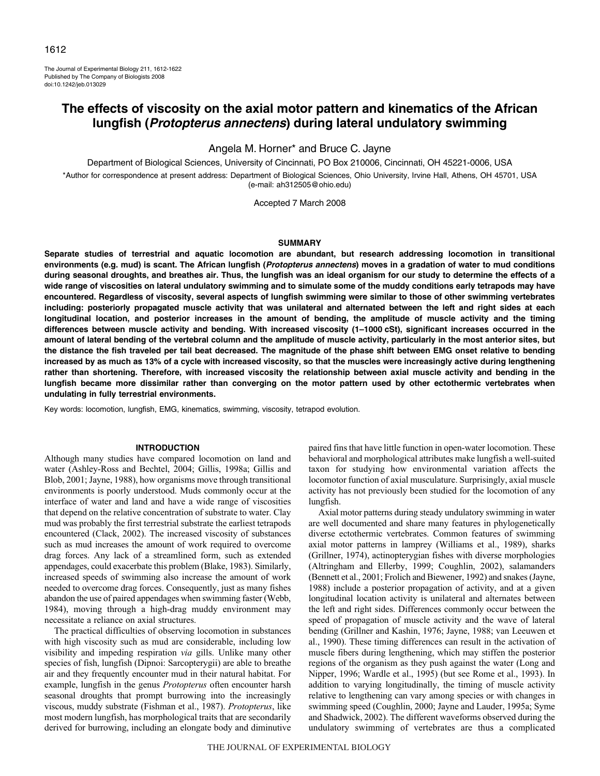The Journal of Experimental Biology 211, 1612-1622 Published by The Company of Biologists 2008 doi:10.1242/jeb.013029

# **The effects of viscosity on the axial motor pattern and kinematics of the African lungfish (Protopterus annectens) during lateral undulatory swimming**

Angela M. Horner\* and Bruce C. Jayne

Department of Biological Sciences, University of Cincinnati, PO Box 210006, Cincinnati, OH 45221-0006, USA \*Author for correspondence at present address: Department of Biological Sciences, Ohio University, Irvine Hall, Athens, OH 45701, USA

(e-mail: ah312505@ohio.edu)

Accepted 7 March 2008

## **SUMMARY**

**Separate studies of terrestrial and aquatic locomotion are abundant, but research addressing locomotion in transitional environments (e.g. mud) is scant. The African lungfish (Protopterus annectens) moves in a gradation of water to mud conditions during seasonal droughts, and breathes air. Thus, the lungfish was an ideal organism for our study to determine the effects of a wide range of viscosities on lateral undulatory swimming and to simulate some of the muddy conditions early tetrapods may have encountered. Regardless of viscosity, several aspects of lungfish swimming were similar to those of other swimming vertebrates including: posteriorly propagated muscle activity that was unilateral and alternated between the left and right sides at each longitudinal location, and posterior increases in the amount of bending, the amplitude of muscle activity and the timing differences between muscle activity and bending. With increased viscosity (1–1000·cSt), significant increases occurred in the amount of lateral bending of the vertebral column and the amplitude of muscle activity, particularly in the most anterior sites, but the distance the fish traveled per tail beat decreased. The magnitude of the phase shift between EMG onset relative to bending increased by as much as 13% of a cycle with increased viscosity, so that the muscles were increasingly active during lengthening rather than shortening. Therefore, with increased viscosity the relationship between axial muscle activity and bending in the lungfish became more dissimilar rather than converging on the motor pattern used by other ectothermic vertebrates when undulating in fully terrestrial environments.**

Key words: locomotion, lungfish, EMG, kinematics, swimming, viscosity, tetrapod evolution.

### **INTRODUCTION**

Although many studies have compared locomotion on land and water (Ashley-Ross and Bechtel, 2004; Gillis, 1998a; Gillis and Blob, 2001; Jayne, 1988), how organisms move through transitional environments is poorly understood. Muds commonly occur at the interface of water and land and have a wide range of viscosities that depend on the relative concentration of substrate to water. Clay mud was probably the first terrestrial substrate the earliest tetrapods encountered (Clack, 2002). The increased viscosity of substances such as mud increases the amount of work required to overcome drag forces. Any lack of a streamlined form, such as extended appendages, could exacerbate this problem (Blake, 1983). Similarly, increased speeds of swimming also increase the amount of work needed to overcome drag forces. Consequently, just as many fishes abandon the use of paired appendages when swimming faster (Webb, 1984), moving through a high-drag muddy environment may necessitate a reliance on axial structures.

The practical difficulties of observing locomotion in substances with high viscosity such as mud are considerable, including low visibility and impeding respiration *via* gills. Unlike many other species of fish, lungfish (Dipnoi: Sarcopterygii) are able to breathe air and they frequently encounter mud in their natural habitat. For example, lungfish in the genus *Protopterus* often encounter harsh seasonal droughts that prompt burrowing into the increasingly viscous, muddy substrate (Fishman et al., 1987). *Protopterus*, like most modern lungfish, has morphological traits that are secondarily derived for burrowing, including an elongate body and diminutive paired fins that have little function in open-water locomotion. These behavioral and morphological attributes make lungfish a well-suited taxon for studying how environmental variation affects the locomotor function of axial musculature. Surprisingly, axial muscle activity has not previously been studied for the locomotion of any lungfish.

Axial motor patterns during steady undulatory swimming in water are well documented and share many features in phylogenetically diverse ectothermic vertebrates. Common features of swimming axial motor patterns in lamprey (Williams et al., 1989), sharks (Grillner, 1974), actinopterygian fishes with diverse morphologies (Altringham and Ellerby, 1999; Coughlin, 2002), salamanders (Bennett et al., 2001; Frolich and Biewener, 1992) and snakes (Jayne, 1988) include a posterior propagation of activity, and at a given longitudinal location activity is unilateral and alternates between the left and right sides. Differences commonly occur between the speed of propagation of muscle activity and the wave of lateral bending (Grillner and Kashin, 1976; Jayne, 1988; van Leeuwen et al., 1990). These timing differences can result in the activation of muscle fibers during lengthening, which may stiffen the posterior regions of the organism as they push against the water (Long and Nipper, 1996; Wardle et al., 1995) (but see Rome et al., 1993). In addition to varying longitudinally, the timing of muscle activity relative to lengthening can vary among species or with changes in swimming speed (Coughlin, 2000; Jayne and Lauder, 1995a; Syme and Shadwick, 2002). The different waveforms observed during the undulatory swimming of vertebrates are thus a complicated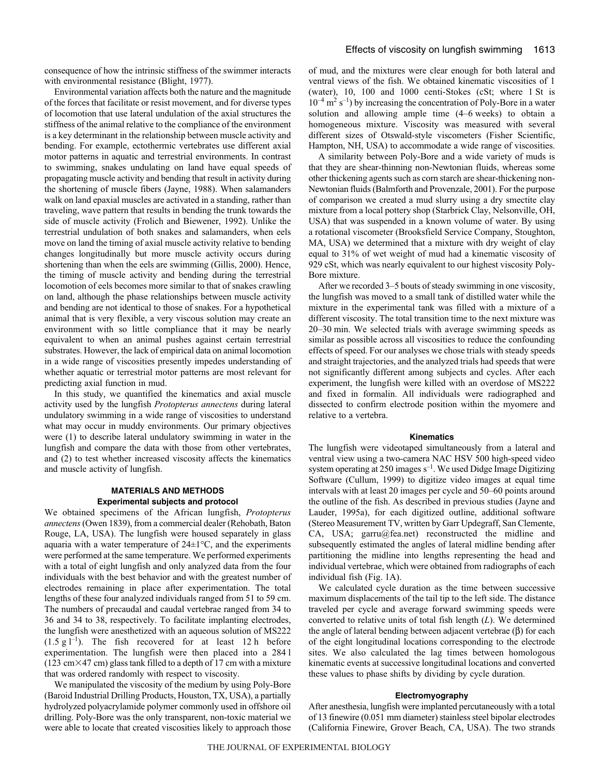consequence of how the intrinsic stiffness of the swimmer interacts with environmental resistance (Blight, 1977).

Environmental variation affects both the nature and the magnitude of the forces that facilitate or resist movement, and for diverse types of locomotion that use lateral undulation of the axial structures the stiffness of the animal relative to the compliance of the environment is a key determinant in the relationship between muscle activity and bending. For example, ectothermic vertebrates use different axial motor patterns in aquatic and terrestrial environments. In contrast to swimming, snakes undulating on land have equal speeds of propagating muscle activity and bending that result in activity during the shortening of muscle fibers (Jayne, 1988). When salamanders walk on land epaxial muscles are activated in a standing, rather than traveling, wave pattern that results in bending the trunk towards the side of muscle activity (Frolich and Biewener, 1992). Unlike the terrestrial undulation of both snakes and salamanders, when eels move on land the timing of axial muscle activity relative to bending changes longitudinally but more muscle activity occurs during shortening than when the eels are swimming (Gillis, 2000). Hence, the timing of muscle activity and bending during the terrestrial locomotion of eels becomes more similar to that of snakes crawling on land, although the phase relationships between muscle activity and bending are not identical to those of snakes. For a hypothetical animal that is very flexible, a very viscous solution may create an environment with so little compliance that it may be nearly equivalent to when an animal pushes against certain terrestrial substrates. However, the lack of empirical data on animal locomotion in a wide range of viscosities presently impedes understanding of whether aquatic or terrestrial motor patterns are most relevant for predicting axial function in mud.

In this study, we quantified the kinematics and axial muscle activity used by the lungfish *Protopterus annectens* during lateral undulatory swimming in a wide range of viscosities to understand what may occur in muddy environments. Our primary objectives were (1) to describe lateral undulatory swimming in water in the lungfish and compare the data with those from other vertebrates, and (2) to test whether increased viscosity affects the kinematics and muscle activity of lungfish.

# **MATERIALS AND METHODS Experimental subjects and protocol**

We obtained specimens of the African lungfish, *Protopterus annectens* (Owen 1839), from a commercial dealer (Rehobath, Baton Rouge, LA, USA). The lungfish were housed separately in glass aquaria with a water temperature of  $24 \pm 1$ °C, and the experiments were performed at the same temperature. We performed experiments with a total of eight lungfish and only analyzed data from the four individuals with the best behavior and with the greatest number of electrodes remaining in place after experimentation. The total lengths of these four analyzed individuals ranged from 51 to 59 cm. The numbers of precaudal and caudal vertebrae ranged from 34 to 36 and 34 to 38, respectively. To facilitate implanting electrodes, the lungfish were anesthetized with an aqueous solution of MS222  $(1.5 \text{ g l}^{-1})$ . The fish recovered for at least 12 h before experimentation. The lungfish were then placed into a 284<sup>1</sup>  $(123 cm \times 47 cm)$  glass tank filled to a depth of 17 cm with a mixture that was ordered randomly with respect to viscosity.

We manipulated the viscosity of the medium by using Poly-Bore (Baroid Industrial Drilling Products, Houston, TX, USA), a partially hydrolyzed polyacrylamide polymer commonly used in offshore oil drilling. Poly-Bore was the only transparent, non-toxic material we were able to locate that created viscosities likely to approach those of mud, and the mixtures were clear enough for both lateral and ventral views of the fish. We obtained kinematic viscosities of 1 (water),  $10$ ,  $100$  and  $1000$  centi-Stokes (cSt; where  $1$  St is  $10^{-4}$  m<sup>2</sup> s<sup>-1</sup>) by increasing the concentration of Poly-Bore in a water solution and allowing ample time  $(4-6$  weeks) to obtain a homogeneous mixture. Viscosity was measured with several different sizes of Otswald-style viscometers (Fisher Scientific, Hampton, NH, USA) to accommodate a wide range of viscosities.

A similarity between Poly-Bore and a wide variety of muds is that they are shear-thinning non-Newtonian fluids, whereas some other thickening agents such as corn starch are shear-thickening non-Newtonian fluids (Balmforth and Provenzale, 2001). For the purpose of comparison we created a mud slurry using a dry smectite clay mixture from a local pottery shop (Starbrick Clay, Nelsonville, OH, USA) that was suspended in a known volume of water. By using a rotational viscometer (Brooksfield Service Company, Stoughton, MA, USA) we determined that a mixture with dry weight of clay equal to 31% of wet weight of mud had a kinematic viscosity of 929 cSt, which was nearly equivalent to our highest viscosity Poly-Bore mixture.

After we recorded 3–5 bouts of steady swimming in one viscosity, the lungfish was moved to a small tank of distilled water while the mixture in the experimental tank was filled with a mixture of a different viscosity. The total transition time to the next mixture was 20–30 min. We selected trials with average swimming speeds as similar as possible across all viscosities to reduce the confounding effects of speed. For our analyses we chose trials with steady speeds and straight trajectories, and the analyzed trials had speeds that were not significantly different among subjects and cycles. After each experiment, the lungfish were killed with an overdose of MS222 and fixed in formalin. All individuals were radiographed and dissected to confirm electrode position within the myomere and relative to a vertebra.

## **Kinematics**

The lungfish were videotaped simultaneously from a lateral and ventral view using a two-camera NAC HSV 500 high-speed video system operating at 250 images  $s^{-1}$ . We used Didge Image Digitizing Software (Cullum, 1999) to digitize video images at equal time intervals with at least 20 images per cycle and 50–60 points around the outline of the fish. As described in previous studies (Jayne and Lauder, 1995a), for each digitized outline, additional software (Stereo Measurement TV, written by Garr Updegraff, San Clemente, CA, USA; garru@fea.net) reconstructed the midline and subsequently estimated the angles of lateral midline bending after partitioning the midline into lengths representing the head and individual vertebrae, which were obtained from radiographs of each individual fish (Fig. 1A).

We calculated cycle duration as the time between successive maximum displacements of the tail tip to the left side. The distance traveled per cycle and average forward swimming speeds were converted to relative units of total fish length (*L*). We determined the angle of lateral bending between adjacent vertebrae (β) for each of the eight longitudinal locations corresponding to the electrode sites. We also calculated the lag times between homologous kinematic events at successive longitudinal locations and converted these values to phase shifts by dividing by cycle duration.

# **Electromyography**

After anesthesia, lungfish were implanted percutaneously with a total of 13 finewire (0.051 mm diameter) stainless steel bipolar electrodes (California Finewire, Grover Beach, CA, USA). The two strands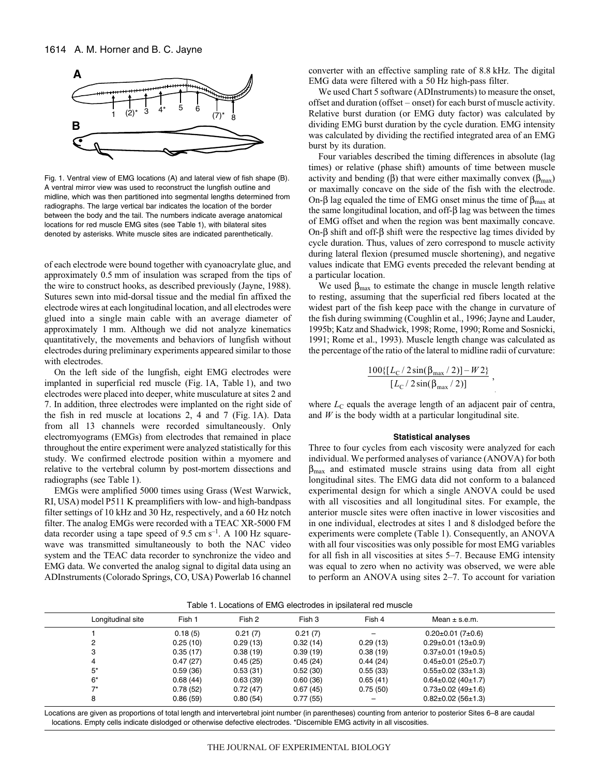

Fig. 1. Ventral view of EMG locations (A) and lateral view of fish shape (B). A ventral mirror view was used to reconstruct the lungfish outline and midline, which was then partitioned into segmental lengths determined from radiographs. The large vertical bar indicates the location of the border between the body and the tail. The numbers indicate average anatomical locations for red muscle EMG sites (see Table 1), with bilateral sites denoted by asterisks. White muscle sites are indicated parenthetically.

of each electrode were bound together with cyanoacrylate glue, and approximately 0.5 mm of insulation was scraped from the tips of the wire to construct hooks, as described previously (Jayne, 1988). Sutures sewn into mid-dorsal tissue and the medial fin affixed the electrode wires at each longitudinal location, and all electrodes were glued into a single main cable with an average diameter of approximately 1 mm. Although we did not analyze kinematics quantitatively, the movements and behaviors of lungfish without electrodes during preliminary experiments appeared similar to those with electrodes.

On the left side of the lungfish, eight EMG electrodes were implanted in superficial red muscle (Fig. 1A, Table 1), and two electrodes were placed into deeper, white musculature at sites 2 and 7. In addition, three electrodes were implanted on the right side of the fish in red muscle at locations 2, 4 and 7 (Fig. 1A). Data from all 13 channels were recorded simultaneously. Only electromyograms (EMGs) from electrodes that remained in place throughout the entire experiment were analyzed statistically for this study. We confirmed electrode position within a myomere and relative to the vertebral column by post-mortem dissections and radiographs (see Table 1).

EMGs were amplified 5000 times using Grass (West Warwick, RI, USA) model P511 K preamplifiers with low- and high-bandpass filter settings of 10 kHz and 30 Hz, respectively, and a 60 Hz notch filter. The analog EMGs were recorded with a TEAC XR-5000 FM data recorder using a tape speed of 9.5 cm  $s^{-1}$ . A 100 Hz squarewave was transmitted simultaneously to both the NAC video system and the TEAC data recorder to synchronize the video and EMG data. We converted the analog signal to digital data using an ADInstruments (Colorado Springs, CO, USA) Powerlab 16 channel converter with an effective sampling rate of 8.8 kHz. The digital EMG data were filtered with a 50 Hz high-pass filter.

We used Chart 5 software (ADInstruments) to measure the onset, offset and duration (offset – onset) for each burst of muscle activity. Relative burst duration (or EMG duty factor) was calculated by dividing EMG burst duration by the cycle duration. EMG intensity was calculated by dividing the rectified integrated area of an EMG burst by its duration.

Four variables described the timing differences in absolute (lag times) or relative (phase shift) amounts of time between muscle activity and bending (β) that were either maximally convex ( $β<sub>max</sub>$ ) or maximally concave on the side of the fish with the electrode. On-β lag equaled the time of EMG onset minus the time of  $β_{max}$  at the same longitudinal location, and off-β lag was between the times of EMG offset and when the region was bent maximally concave. On-β shift and off-β shift were the respective lag times divided by cycle duration. Thus, values of zero correspond to muscle activity during lateral flexion (presumed muscle shortening), and negative values indicate that EMG events preceded the relevant bending at a particular location.

We used  $\beta_{\text{max}}$  to estimate the change in muscle length relative to resting, assuming that the superficial red fibers located at the widest part of the fish keep pace with the change in curvature of the fish during swimming (Coughlin et al., 1996; Jayne and Lauder, 1995b; Katz and Shadwick, 1998; Rome, 1990; Rome and Sosnicki, 1991; Rome et al., 1993). Muscle length change was calculated as the percentage of the ratio of the lateral to midline radii of curvature:

$$
\frac{100\{[L_{\rm C}/2\sin(\beta_{\rm max}/2)]-W2\}}{[L_{\rm C}/2\sin(\beta_{\rm max}/2)]},
$$

where  $L<sub>C</sub>$  equals the average length of an adjacent pair of centra, and *W* is the body width at a particular longitudinal site.

### **Statistical analyses**

Three to four cycles from each viscosity were analyzed for each individual. We performed analyses of variance (ANOVA) for both  $\beta_{\text{max}}$  and estimated muscle strains using data from all eight longitudinal sites. The EMG data did not conform to a balanced experimental design for which a single ANOVA could be used with all viscosities and all longitudinal sites. For example, the anterior muscle sites were often inactive in lower viscosities and in one individual, electrodes at sites 1 and 8 dislodged before the experiments were complete (Table 1). Consequently, an ANOVA with all four viscosities was only possible for most EMG variables for all fish in all viscosities at sites 5–7. Because EMG intensity was equal to zero when no activity was observed, we were able to perform an ANOVA using sites 2–7. To account for variation

|  |  | Table 1. Locations of EMG electrodes in ipsilateral red muscle |  |  |  |  |  |
|--|--|----------------------------------------------------------------|--|--|--|--|--|
|--|--|----------------------------------------------------------------|--|--|--|--|--|

| Longitudinal site | Fish 1   | Fish 2   | Fish 3   | Fish 4   | Mean $\pm$ s.e.m.               |  |
|-------------------|----------|----------|----------|----------|---------------------------------|--|
|                   | 0.18(5)  | 0.21(7)  | 0.21(7)  |          | $0.20 \pm 0.01$ (7 $\pm$ 0.6)   |  |
|                   | 0.25(10) | 0.29(13) | 0.32(14) | 0.29(13) | $0.29 \pm 0.01$ (13 $\pm 0.9$ ) |  |
| 3                 | 0.35(17) | 0.38(19) | 0.39(19) | 0.38(19) | $0.37\pm0.01$ (19 $\pm0.5$ )    |  |
| 4                 | 0.47(27) | 0.45(25) | 0.45(24) | 0.44(24) | $0.45 \pm 0.01$ (25 $\pm$ 0.7)  |  |
| 5*                | 0.59(36) | 0.53(31) | 0.52(30) | 0.55(33) | $0.55 \pm 0.02$ (33 $\pm$ 1.3)  |  |
| 6*                | 0.68(44) | 0.63(39) | 0.60(36) | 0.65(41) | $0.64 \pm 0.02$ (40 $\pm$ 1.7)  |  |
| ⇁∗                | 0.78(52) | 0.72(47) | 0.67(45) | 0.75(50) | $0.73 \pm 0.02$ (49 $\pm$ 1.6)  |  |
| 8                 | 0.86(59) | 0.80(54) | 0.77(55) |          | $0.82\pm0.02(56\pm1.3)$         |  |
|                   |          |          |          |          |                                 |  |

Locations are given as proportions of total length and intervertebral joint number (in parentheses) counting from anterior to posterior Sites 6–8 are caudal locations. Empty cells indicate dislodged or otherwise defective electrodes. \*Discernible EMG activity in all viscosities.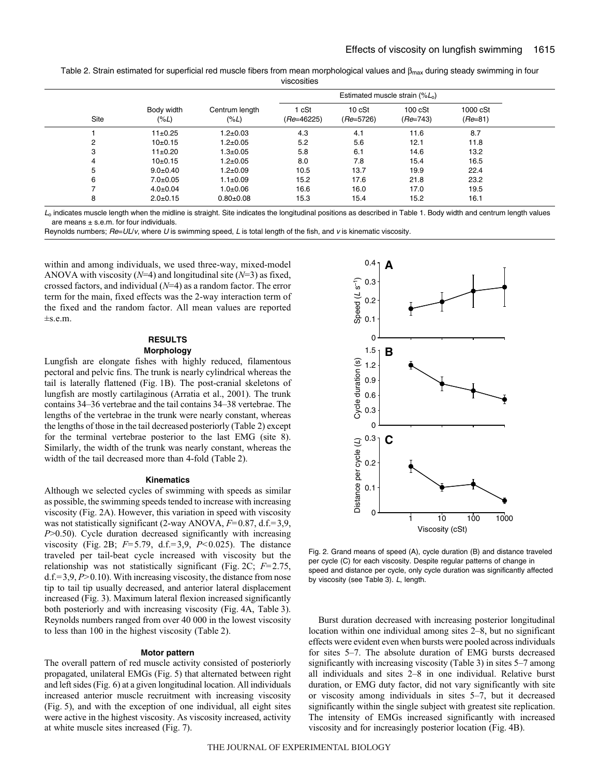Table 2. Strain estimated for superficial red muscle fibers from mean morphological values and  $\beta_{\text{max}}$  during steady swimming in four viscosities

| Estimated muscle strain $(\%L_0)$ |                    |                           |                       |                       |                               |                       |
|-----------------------------------|--------------------|---------------------------|-----------------------|-----------------------|-------------------------------|-----------------------|
| <b>Site</b>                       | Body width<br>(%L) | Centrum length<br>$(\%L)$ | 1 cSt<br>$(Re=46225)$ | 10 cSt<br>$(Re=5726)$ | $100 \text{ cSt}$<br>(Re=743) | 1000 cSt<br>$(Re=81)$ |
|                                   | $11\pm0.25$        | $1.2 \pm 0.03$            | 4.3                   | 4.1                   | 11.6                          | 8.7                   |
| 2                                 | $10+0.15$          | $1.2 \pm 0.05$            | 5.2                   | 5.6                   | 12.1                          | 11.8                  |
| 3                                 | $11\pm0.20$        | $1.3 + 0.05$              | 5.8                   | 6.1                   | 14.6                          | 13.2                  |
| 4                                 | $10+0.15$          | $1.2 \pm 0.05$            | 8.0                   | 7.8                   | 15.4                          | 16.5                  |
| 5                                 | $9.0 + 0.40$       | $1.2 \pm 0.09$            | 10.5                  | 13.7                  | 19.9                          | 22.4                  |
| 6                                 | $7.0 \pm 0.05$     | $1.1 \pm 0.09$            | 15.2                  | 17.6                  | 21.8                          | 23.2                  |
|                                   | $4.0 \pm 0.04$     | $1.0 + 0.06$              | 16.6                  | 16.0                  | 17.0                          | 19.5                  |
| 8                                 | $2.0 + 0.15$       | $0.80 \pm 0.08$           | 15.3                  | 15.4                  | 15.2                          | 16.1                  |

 $L_0$  indicates muscle length when the midline is straight. Site indicates the longitudinal positions as described in Table 1. Body width and centrum length values are means  $\pm$  s.e.m. for four individuals.

Reynolds numbers;  $Re=UL/v$ , where U is swimming speed, L is total length of the fish, and v is kinematic viscosity.

within and among individuals, we used three-way, mixed-model ANOVA with viscosity (*N*=4) and longitudinal site (*N*=3) as fixed, crossed factors, and individual (*N*=4) as a random factor. The error term for the main, fixed effects was the 2-way interaction term of the fixed and the random factor. All mean values are reported ±s.e.m.

## **RESULTS Morphology**

Lungfish are elongate fishes with highly reduced, filamentous pectoral and pelvic fins. The trunk is nearly cylindrical whereas the tail is laterally flattened (Fig. 1B). The post-cranial skeletons of lungfish are mostly cartilaginous (Arratia et al., 2001). The trunk contains 34–36 vertebrae and the tail contains 34–38 vertebrae. The lengths of the vertebrae in the trunk were nearly constant, whereas the lengths of those in the tail decreased posteriorly (Table·2) except for the terminal vertebrae posterior to the last EMG (site 8). Similarly, the width of the trunk was nearly constant, whereas the width of the tail decreased more than 4-fold (Table 2).

#### **Kinematics**

Although we selected cycles of swimming with speeds as similar as possible, the swimming speeds tended to increase with increasing viscosity (Fig. 2A). However, this variation in speed with viscosity was not statistically significant (2-way ANOVA, *F=*0.87, d.f.*=*3,9, *P*>0.50). Cycle duration decreased significantly with increasing viscosity (Fig. 2B; *F*=5.79, d.f.=3,9, *P*<0.025). The distance traveled per tail-beat cycle increased with viscosity but the relationship was not statistically significant (Fig. 2C;  $F=2.75$ , d.f.*=*3,9, *P>*0.10). With increasing viscosity, the distance from nose tip to tail tip usually decreased, and anterior lateral displacement increased (Fig. 3). Maximum lateral flexion increased significantly both posteriorly and with increasing viscosity (Fig. 4A, Table 3). Reynolds numbers ranged from over 40 000 in the lowest viscosity to less than 100 in the highest viscosity (Table 2).

## **Motor pattern**

The overall pattern of red muscle activity consisted of posteriorly propagated, unilateral EMGs (Fig. 5) that alternated between right and left sides (Fig. 6) at a given longitudinal location. All individuals increased anterior muscle recruitment with increasing viscosity (Fig. 5), and with the exception of one individual, all eight sites were active in the highest viscosity. As viscosity increased, activity at white muscle sites increased (Fig. 7).



Fig. 2. Grand means of speed (A), cycle duration (B) and distance traveled per cycle (C) for each viscosity. Despite regular patterns of change in speed and distance per cycle, only cycle duration was significantly affected by viscosity (see Table 3). L, length.

Burst duration decreased with increasing posterior longitudinal location within one individual among sites 2–8, but no significant effects were evident even when bursts were pooled across individuals for sites 5–7. The absolute duration of EMG bursts decreased significantly with increasing viscosity (Table 3) in sites 5–7 among all individuals and sites 2–8 in one individual. Relative burst duration, or EMG duty factor, did not vary significantly with site or viscosity among individuals in sites 5–7, but it decreased significantly within the single subject with greatest site replication. The intensity of EMGs increased significantly with increased viscosity and for increasingly posterior location (Fig. 4B).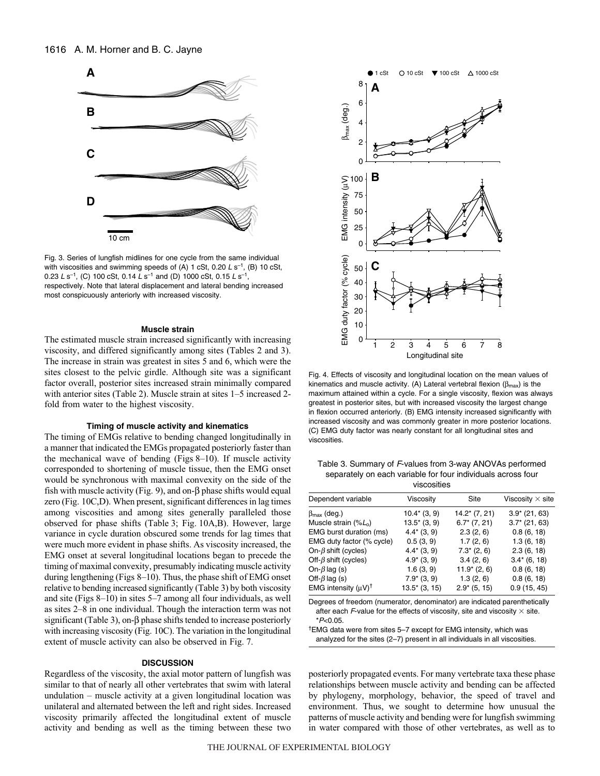

Fig. 3. Series of lungfish midlines for one cycle from the same individual with viscosities and swimming speeds of (A) 1 cSt, 0.20  $L s^{-1}$ , (B) 10 cSt, 0.23 L s<sup>-1</sup>, (C) 100 cSt, 0.14 L s<sup>-1</sup> and (D) 1000 cSt, 0.15 L s<sup>-1</sup>, respectively. Note that lateral displacement and lateral bending increased most conspicuously anteriorly with increased viscosity.

### **Muscle strain**

The estimated muscle strain increased significantly with increasing viscosity, and differed significantly among sites (Tables 2 and 3). The increase in strain was greatest in sites 5 and 6, which were the sites closest to the pelvic girdle. Although site was a significant factor overall, posterior sites increased strain minimally compared with anterior sites (Table 2). Muscle strain at sites 1–5 increased 2fold from water to the highest viscosity.

#### **Timing of muscle activity and kinematics**

The timing of EMGs relative to bending changed longitudinally in a manner that indicated the EMGs propagated posteriorly faster than the mechanical wave of bending (Figs 8–10). If muscle activity corresponded to shortening of muscle tissue, then the EMG onset would be synchronous with maximal convexity on the side of the fish with muscle activity (Fig. 9), and on- $\beta$  phase shifts would equal zero (Fig. 10C,D). When present, significant differences in lag times among viscosities and among sites generally paralleled those observed for phase shifts (Table 3; Fig. 10A,B). However, large variance in cycle duration obscured some trends for lag times that were much more evident in phase shifts. As viscosity increased, the EMG onset at several longitudinal locations began to precede the timing of maximal convexity, presumably indicating muscle activity during lengthening (Figs 8–10). Thus, the phase shift of EMG onset relative to bending increased significantly (Table 3) by both viscosity and site (Figs  $8-10$ ) in sites  $5-7$  among all four individuals, as well as sites 2–8 in one individual. Though the interaction term was not significant (Table 3), on-β phase shifts tended to increase posteriorly with increasing viscosity (Fig. 10C). The variation in the longitudinal extent of muscle activity can also be observed in Fig. 7.

#### **DISCUSSION**

Regardless of the viscosity, the axial motor pattern of lungfish was similar to that of nearly all other vertebrates that swim with lateral undulation – muscle activity at a given longitudinal location was unilateral and alternated between the left and right sides. Increased viscosity primarily affected the longitudinal extent of muscle activity and bending as well as the timing between these two



Fig. 4. Effects of viscosity and longitudinal location on the mean values of kinematics and muscle activity. (A) Lateral vertebral flexion ( $\beta_{\text{max}}$ ) is the maximum attained within a cycle. For a single viscosity, flexion was always greatest in posterior sites, but with increased viscosity the largest change in flexion occurred anteriorly. (B) EMG intensity increased significantly with increased viscosity and was commonly greater in more posterior locations. (C) EMG duty factor was nearly constant for all longitudinal sites and viscosities.

Table 3. Summary of F-values from 3-way ANOVAs performed separately on each variable for four individuals across four viscosities

| VISCOSILIES                    |                 |                  |                         |  |  |  |  |
|--------------------------------|-----------------|------------------|-------------------------|--|--|--|--|
| Dependent variable             | Viscosity       | Site             | Viscosity $\times$ site |  |  |  |  |
| $\beta_{\text{max}}$ (deg.)    | $10.4*$ (3, 9)  | $14.2^*$ (7, 21) | $3.9*$ (21, 63)         |  |  |  |  |
| Muscle strain $(\%L_0)$        | $13.5^*$ (3, 9) | $6.7^*$ (7, 21)  | $3.7^*$ (21, 63)        |  |  |  |  |
| EMG burst duration (ms)        | $4.4*(3, 9)$    | 2.3(2, 6)        | 0.8(6, 18)              |  |  |  |  |
| EMG duty factor (% cycle)      | 0.5(3, 9)       | 1.7(2, 6)        | 1.3(6, 18)              |  |  |  |  |
| On- $\beta$ shift (cycles)     | $4.4*$ (3, 9)   | $7.3^*$ (2, 6)   | 2.3(6, 18)              |  |  |  |  |
| Off- $\beta$ shift (cycles)    | $4.9*$ (3, 9)   | 3.4(2, 6)        | $3.4*$ (6, 18)          |  |  |  |  |
| On- $\beta$ lag (s)            | 1.6(3, 9)       | $11.9*(2, 6)$    | 0.8(6, 18)              |  |  |  |  |
| Off- $\beta$ lag (s)           | $7.9^*$ (3, 9)  | 1.3(2, 6)        | 0.8(6, 18)              |  |  |  |  |
| EMG intensity $(uV)^{\dagger}$ | $13.5'$ (3, 15) | $2.9$ (5, 15)    | 0.9(15, 45)             |  |  |  |  |

Degrees of freedom (numerator, denominator) are indicated parenthetically after each F-value for the effects of viscosity, site and viscosity  $\times$  site.  $*P<0.05$ .

†EMG data were from sites 5–7 except for EMG intensity, which was analyzed for the sites (2–7) present in all individuals in all viscosities.

posteriorly propagated events. For many vertebrate taxa these phase relationships between muscle activity and bending can be affected by phylogeny, morphology, behavior, the speed of travel and environment. Thus, we sought to determine how unusual the patterns of muscle activity and bending were for lungfish swimming in water compared with those of other vertebrates, as well as to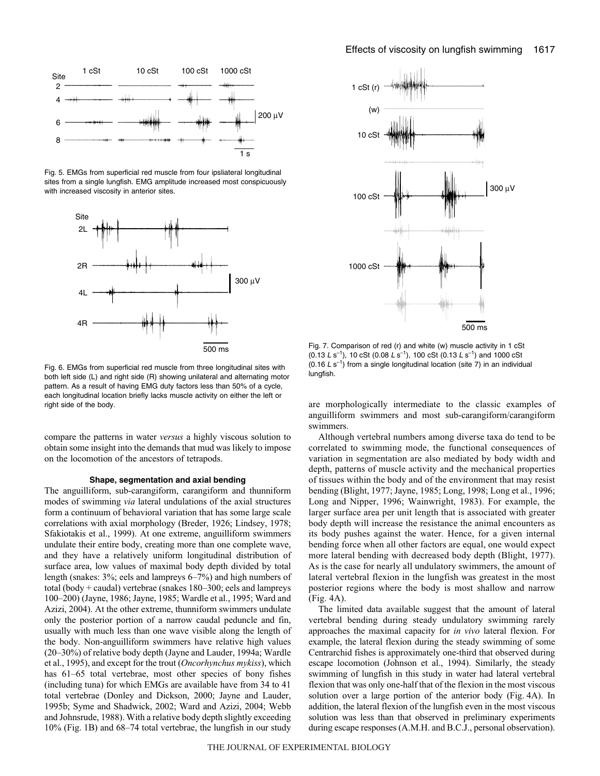

Fig. 5. EMGs from superficial red muscle from four ipsliateral longitudinal sites from a single lungfish. EMG amplitude increased most conspicuously with increased viscosity in anterior sites.



Fig. 6. EMGs from superficial red muscle from three longitudinal sites with both left side (L) and right side (R) showing unilateral and alternating motor pattern. As a result of having EMG duty factors less than 50% of a cycle, each longitudinal location briefly lacks muscle activity on either the left or right side of the body.

compare the patterns in water *versus* a highly viscous solution to obtain some insight into the demands that mud was likely to impose on the locomotion of the ancestors of tetrapods.

#### **Shape, segmentation and axial bending**

The anguilliform, sub-carangiform, carangiform and thunniform modes of swimming *via* lateral undulations of the axial structures form a continuum of behavioral variation that has some large scale correlations with axial morphology (Breder, 1926; Lindsey, 1978; Sfakiotakis et al., 1999). At one extreme, anguilliform swimmers undulate their entire body, creating more than one complete wave, and they have a relatively uniform longitudinal distribution of surface area, low values of maximal body depth divided by total length (snakes: 3%; eels and lampreys 6–7%) and high numbers of total (body + caudal) vertebrae (snakes 180–300; eels and lampreys 100–200) (Jayne, 1986; Jayne, 1985; Wardle et al., 1995; Ward and Azizi, 2004). At the other extreme, thunniform swimmers undulate only the posterior portion of a narrow caudal peduncle and fin, usually with much less than one wave visible along the length of the body. Non-anguilliform swimmers have relative high values (20–30%) of relative body depth (Jayne and Lauder, 1994a; Wardle et al., 1995), and except for the trout (*Oncorhynchus mykiss*), which has  $61-65$  total vertebrae, most other species of bony fishes (including tuna) for which EMGs are available have from 34 to 41 total vertebrae (Donley and Dickson, 2000; Jayne and Lauder, 1995b; Syme and Shadwick, 2002; Ward and Azizi, 2004; Webb and Johnsrude, 1988). With a relative body depth slightly exceeding 10% (Fig. 1B) and 68–74 total vertebrae, the lungfish in our study



Fig. 7. Comparison of red (r) and white (w) muscle activity in 1 cSt  $(0.13~L~\mathrm{s}^{-1})$ , 10 cSt  $(0.08~L~\mathrm{s}^{-1})$ , 100 cSt  $(0.13~L~\mathrm{s}^{-1})$  and 1000 cSt (0.16  $L s^{-1}$ ) from a single longitudinal location (site 7) in an individual lungfish.

are morphologically intermediate to the classic examples of anguilliform swimmers and most sub-carangiform/carangiform swimmers.

Although vertebral numbers among diverse taxa do tend to be correlated to swimming mode, the functional consequences of variation in segmentation are also mediated by body width and depth, patterns of muscle activity and the mechanical properties of tissues within the body and of the environment that may resist bending (Blight, 1977; Jayne, 1985; Long, 1998; Long et al., 1996; Long and Nipper, 1996; Wainwright, 1983). For example, the larger surface area per unit length that is associated with greater body depth will increase the resistance the animal encounters as its body pushes against the water. Hence, for a given internal bending force when all other factors are equal, one would expect more lateral bending with decreased body depth (Blight, 1977). As is the case for nearly all undulatory swimmers, the amount of lateral vertebral flexion in the lungfish was greatest in the most posterior regions where the body is most shallow and narrow  $(Fig. 4A)$ .

The limited data available suggest that the amount of lateral vertebral bending during steady undulatory swimming rarely approaches the maximal capacity for *in vivo* lateral flexion. For example, the lateral flexion during the steady swimming of some Centrarchid fishes is approximately one-third that observed during escape locomotion (Johnson et al., 1994). Similarly, the steady swimming of lungfish in this study in water had lateral vertebral flexion that was only one-half that of the flexion in the most viscous solution over a large portion of the anterior body (Fig. 4A). In addition, the lateral flexion of the lungfish even in the most viscous solution was less than that observed in preliminary experiments during escape responses (A.M.H. and B.C.J., personal observation).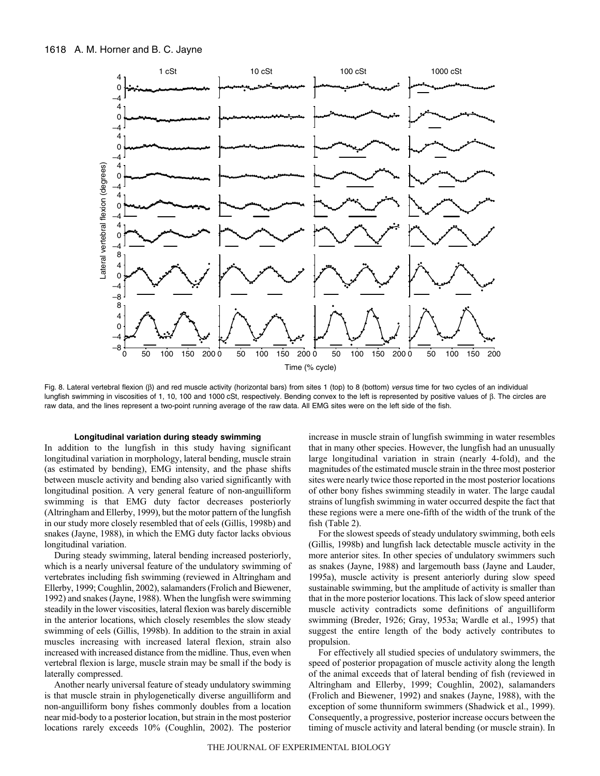

Fig. 8. Lateral vertebral flexion (β) and red muscle activity (horizontal bars) from sites 1 (top) to 8 (bottom) versus time for two cycles of an individual lungfish swimming in viscosities of 1, 10, 100 and 1000 cSt, respectively. Bending convex to the left is represented by positive values of β. The circles are raw data, and the lines represent a two-point running average of the raw data. All EMG sites were on the left side of the fish.

#### **Longitudinal variation during steady swimming**

In addition to the lungfish in this study having significant longitudinal variation in morphology, lateral bending, muscle strain (as estimated by bending), EMG intensity, and the phase shifts between muscle activity and bending also varied significantly with longitudinal position. A very general feature of non-anguilliform swimming is that EMG duty factor decreases posteriorly (Altringham and Ellerby, 1999), but the motor pattern of the lungfish in our study more closely resembled that of eels (Gillis, 1998b) and snakes (Jayne, 1988), in which the EMG duty factor lacks obvious longitudinal variation.

During steady swimming, lateral bending increased posteriorly, which is a nearly universal feature of the undulatory swimming of vertebrates including fish swimming (reviewed in Altringham and Ellerby, 1999; Coughlin, 2002), salamanders (Frolich and Biewener, 1992) and snakes (Jayne, 1988). When the lungfish were swimming steadily in the lower viscosities, lateral flexion was barely discernible in the anterior locations, which closely resembles the slow steady swimming of eels (Gillis, 1998b). In addition to the strain in axial muscles increasing with increased lateral flexion, strain also increased with increased distance from the midline. Thus, even when vertebral flexion is large, muscle strain may be small if the body is laterally compressed.

Another nearly universal feature of steady undulatory swimming is that muscle strain in phylogenetically diverse anguilliform and non-anguilliform bony fishes commonly doubles from a location near mid-body to a posterior location, but strain in the most posterior locations rarely exceeds 10% (Coughlin, 2002). The posterior increase in muscle strain of lungfish swimming in water resembles that in many other species. However, the lungfish had an unusually large longitudinal variation in strain (nearly 4-fold), and the magnitudes of the estimated muscle strain in the three most posterior sites were nearly twice those reported in the most posterior locations of other bony fishes swimming steadily in water. The large caudal strains of lungfish swimming in water occurred despite the fact that these regions were a mere one-fifth of the width of the trunk of the fish (Table 2).

For the slowest speeds of steady undulatory swimming, both eels (Gillis, 1998b) and lungfish lack detectable muscle activity in the more anterior sites. In other species of undulatory swimmers such as snakes (Jayne, 1988) and largemouth bass (Jayne and Lauder, 1995a), muscle activity is present anteriorly during slow speed sustainable swimming, but the amplitude of activity is smaller than that in the more posterior locations. This lack of slow speed anterior muscle activity contradicts some definitions of anguilliform swimming (Breder, 1926; Gray, 1953a; Wardle et al., 1995) that suggest the entire length of the body actively contributes to propulsion.

For effectively all studied species of undulatory swimmers, the speed of posterior propagation of muscle activity along the length of the animal exceeds that of lateral bending of fish (reviewed in Altringham and Ellerby, 1999; Coughlin, 2002), salamanders (Frolich and Biewener, 1992) and snakes (Jayne, 1988), with the exception of some thunniform swimmers (Shadwick et al., 1999). Consequently, a progressive, posterior increase occurs between the timing of muscle activity and lateral bending (or muscle strain). In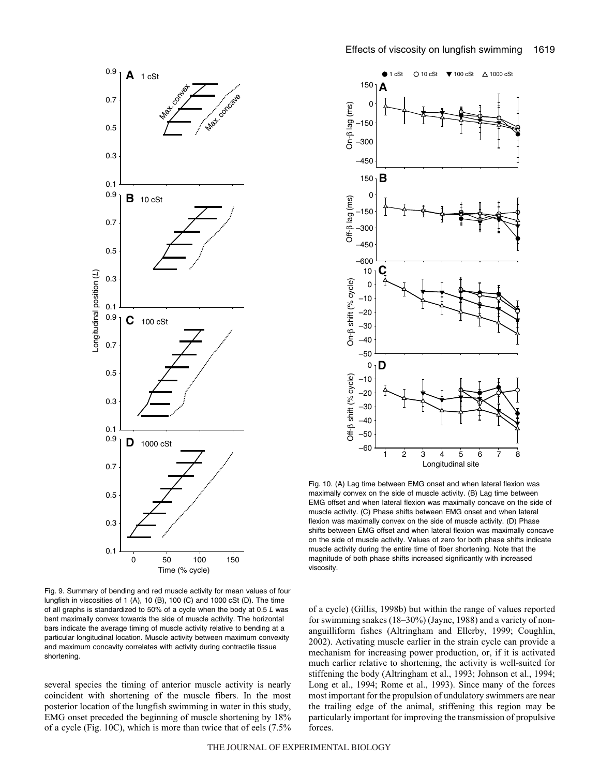



Fig. 9. Summary of bending and red muscle activity for mean values of four lungfish in viscosities of 1 (A), 10 (B), 100 (C) and 1000 cSt (D). The time of all graphs is standardized to 50% of a cycle when the body at 0.5  $L$  was bent maximally convex towards the side of muscle activity. The horizontal bars indicate the average timing of muscle activity relative to bending at a particular longitudinal location. Muscle activity between maximum convexity and maximum concavity correlates with activity during contractile tissue shortening.

several species the timing of anterior muscle activity is nearly coincident with shortening of the muscle fibers. In the most posterior location of the lungfish swimming in water in this study, EMG onset preceded the beginning of muscle shortening by 18% of a cycle (Fig. 10C), which is more than twice that of eels (7.5%



Fig. 10. (A) Lag time between EMG onset and when lateral flexion was maximally convex on the side of muscle activity. (B) Lag time between EMG offset and when lateral flexion was maximally concave on the side of muscle activity. (C) Phase shifts between EMG onset and when lateral flexion was maximally convex on the side of muscle activity. (D) Phase shifts between EMG offset and when lateral flexion was maximally concave on the side of muscle activity. Values of zero for both phase shifts indicate muscle activity during the entire time of fiber shortening. Note that the magnitude of both phase shifts increased significantly with increased viscosity.

of a cycle) (Gillis, 1998b) but within the range of values reported for swimming snakes (18–30%) (Jayne, 1988) and a variety of nonanguilliform fishes (Altringham and Ellerby, 1999; Coughlin, 2002). Activating muscle earlier in the strain cycle can provide a mechanism for increasing power production, or, if it is activated much earlier relative to shortening, the activity is well-suited for stiffening the body (Altringham et al., 1993; Johnson et al., 1994; Long et al., 1994; Rome et al., 1993). Since many of the forces most important for the propulsion of undulatory swimmers are near the trailing edge of the animal, stiffening this region may be particularly important for improving the transmission of propulsive forces.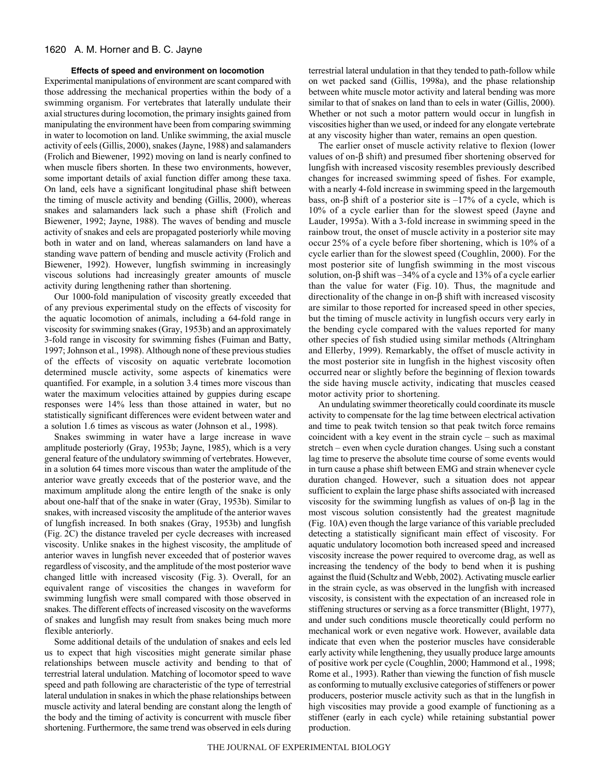## **Effects of speed and environment on locomotion**

Experimental manipulations of environment are scant compared with those addressing the mechanical properties within the body of a swimming organism. For vertebrates that laterally undulate their axial structures during locomotion, the primary insights gained from manipulating the environment have been from comparing swimming in water to locomotion on land. Unlike swimming, the axial muscle activity of eels (Gillis, 2000), snakes (Jayne, 1988) and salamanders (Frolich and Biewener, 1992) moving on land is nearly confined to when muscle fibers shorten. In these two environments, however, some important details of axial function differ among these taxa. On land, eels have a significant longitudinal phase shift between the timing of muscle activity and bending (Gillis, 2000), whereas snakes and salamanders lack such a phase shift (Frolich and Biewener, 1992; Jayne, 1988). The waves of bending and muscle activity of snakes and eels are propagated posteriorly while moving both in water and on land, whereas salamanders on land have a standing wave pattern of bending and muscle activity (Frolich and Biewener, 1992). However, lungfish swimming in increasingly viscous solutions had increasingly greater amounts of muscle activity during lengthening rather than shortening.

Our 1000-fold manipulation of viscosity greatly exceeded that of any previous experimental study on the effects of viscosity for the aquatic locomotion of animals, including a 64-fold range in viscosity for swimming snakes (Gray, 1953b) and an approximately 3-fold range in viscosity for swimming fishes (Fuiman and Batty, 1997; Johnson et al., 1998). Although none of these previous studies of the effects of viscosity on aquatic vertebrate locomotion determined muscle activity, some aspects of kinematics were quantified. For example, in a solution 3.4 times more viscous than water the maximum velocities attained by guppies during escape responses were 14% less than those attained in water, but no statistically significant differences were evident between water and a solution 1.6 times as viscous as water (Johnson et al., 1998).

Snakes swimming in water have a large increase in wave amplitude posteriorly (Gray, 1953b; Jayne, 1985), which is a very general feature of the undulatory swimming of vertebrates. However, in a solution 64 times more viscous than water the amplitude of the anterior wave greatly exceeds that of the posterior wave, and the maximum amplitude along the entire length of the snake is only about one-half that of the snake in water (Gray, 1953b). Similar to snakes, with increased viscosity the amplitude of the anterior waves of lungfish increased. In both snakes (Gray, 1953b) and lungfish (Fig. 2C) the distance traveled per cycle decreases with increased viscosity. Unlike snakes in the highest viscosity, the amplitude of anterior waves in lungfish never exceeded that of posterior waves regardless of viscosity, and the amplitude of the most posterior wave changed little with increased viscosity (Fig. 3). Overall, for an equivalent range of viscosities the changes in waveform for swimming lungfish were small compared with those observed in snakes. The different effects of increased viscosity on the waveforms of snakes and lungfish may result from snakes being much more flexible anteriorly.

Some additional details of the undulation of snakes and eels led us to expect that high viscosities might generate similar phase relationships between muscle activity and bending to that of terrestrial lateral undulation. Matching of locomotor speed to wave speed and path following are characteristic of the type of terrestrial lateral undulation in snakes in which the phase relationships between muscle activity and lateral bending are constant along the length of the body and the timing of activity is concurrent with muscle fiber shortening. Furthermore, the same trend was observed in eels during

terrestrial lateral undulation in that they tended to path-follow while on wet packed sand (Gillis, 1998a), and the phase relationship between white muscle motor activity and lateral bending was more similar to that of snakes on land than to eels in water (Gillis, 2000). Whether or not such a motor pattern would occur in lungfish in viscosities higher than we used, or indeed for any elongate vertebrate at any viscosity higher than water, remains an open question.

The earlier onset of muscle activity relative to flexion (lower values of on-β shift) and presumed fiber shortening observed for lungfish with increased viscosity resembles previously described changes for increased swimming speed of fishes. For example, with a nearly 4-fold increase in swimming speed in the largemouth bass, on-β shift of a posterior site is –17% of a cycle, which is 10% of a cycle earlier than for the slowest speed (Jayne and Lauder, 1995a). With a 3-fold increase in swimming speed in the rainbow trout, the onset of muscle activity in a posterior site may occur 25% of a cycle before fiber shortening, which is 10% of a cycle earlier than for the slowest speed (Coughlin, 2000). For the most posterior site of lungfish swimming in the most viscous solution, on-β shift was –34% of a cycle and 13% of a cycle earlier than the value for water (Fig. 10). Thus, the magnitude and directionality of the change in on-β shift with increased viscosity are similar to those reported for increased speed in other species, but the timing of muscle activity in lungfish occurs very early in the bending cycle compared with the values reported for many other species of fish studied using similar methods (Altringham and Ellerby, 1999). Remarkably, the offset of muscle activity in the most posterior site in lungfish in the highest viscosity often occurred near or slightly before the beginning of flexion towards the side having muscle activity, indicating that muscles ceased motor activity prior to shortening.

An undulating swimmer theoretically could coordinate its muscle activity to compensate for the lag time between electrical activation and time to peak twitch tension so that peak twitch force remains coincident with a key event in the strain cycle – such as maximal stretch – even when cycle duration changes. Using such a constant lag time to preserve the absolute time course of some events would in turn cause a phase shift between EMG and strain whenever cycle duration changed. However, such a situation does not appear sufficient to explain the large phase shifts associated with increased viscosity for the swimming lungfish as values of on-β lag in the most viscous solution consistently had the greatest magnitude (Fig. 10A) even though the large variance of this variable precluded detecting a statistically significant main effect of viscosity. For aquatic undulatory locomotion both increased speed and increased viscosity increase the power required to overcome drag, as well as increasing the tendency of the body to bend when it is pushing against the fluid (Schultz and Webb, 2002). Activating muscle earlier in the strain cycle, as was observed in the lungfish with increased viscosity, is consistent with the expectation of an increased role in stiffening structures or serving as a force transmitter (Blight, 1977), and under such conditions muscle theoretically could perform no mechanical work or even negative work. However, available data indicate that even when the posterior muscles have considerable early activity while lengthening, they usually produce large amounts of positive work per cycle (Coughlin, 2000; Hammond et al., 1998; Rome et al., 1993). Rather than viewing the function of fish muscle as conforming to mutually exclusive categories of stiffeners or power producers, posterior muscle activity such as that in the lungfish in high viscosities may provide a good example of functioning as a stiffener (early in each cycle) while retaining substantial power production.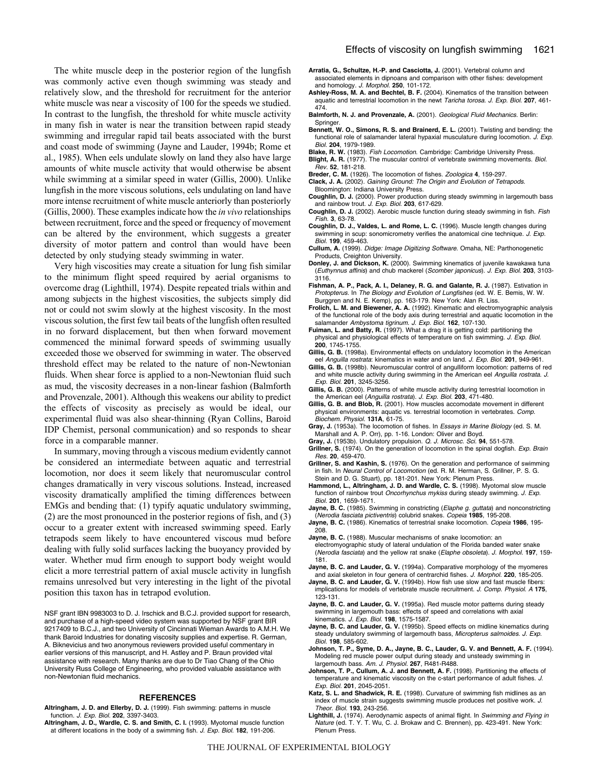The white muscle deep in the posterior region of the lungfish was commonly active even though swimming was steady and relatively slow, and the threshold for recruitment for the anterior white muscle was near a viscosity of 100 for the speeds we studied. In contrast to the lungfish, the threshold for white muscle activity in many fish in water is near the transition between rapid steady swimming and irregular rapid tail beats associated with the burst and coast mode of swimming (Jayne and Lauder, 1994b; Rome et al., 1985). When eels undulate slowly on land they also have large amounts of white muscle activity that would otherwise be absent while swimming at a similar speed in water (Gillis, 2000). Unlike lungfish in the more viscous solutions, eels undulating on land have more intense recruitment of white muscle anteriorly than posteriorly (Gillis, 2000). These examples indicate how the *in vivo* relationships between recruitment, force and the speed or frequency of movement can be altered by the environment, which suggests a greater diversity of motor pattern and control than would have been detected by only studying steady swimming in water.

Very high viscosities may create a situation for lung fish similar to the minimum flight speed required by aerial organisms to overcome drag (Lighthill, 1974). Despite repeated trials within and among subjects in the highest viscosities, the subjects simply did not or could not swim slowly at the highest viscosity. In the most viscous solution, the first few tail beats of the lungfish often resulted in no forward displacement, but then when forward movement commenced the minimal forward speeds of swimming usually exceeded those we observed for swimming in water. The observed threshold effect may be related to the nature of non-Newtonian fluids. When shear force is applied to a non-Newtonian fluid such as mud, the viscosity decreases in a non-linear fashion (Balmforth and Provenzale, 2001). Although this weakens our ability to predict the effects of viscosity as precisely as would be ideal, our experimental fluid was also shear-thinning (Ryan Collins, Baroid IDP Chemist, personal communication) and so responds to shear force in a comparable manner.

In summary, moving through a viscous medium evidently cannot be considered an intermediate between aquatic and terrestrial locomotion, nor does it seem likely that neuromuscular control changes dramatically in very viscous solutions. Instead, increased viscosity dramatically amplified the timing differences between EMGs and bending that: (1) typify aquatic undulatory swimming, (2) are the most pronounced in the posterior regions of fish, and (3) occur to a greater extent with increased swimming speed. Early tetrapods seem likely to have encountered viscous mud before dealing with fully solid surfaces lacking the buoyancy provided by water. Whether mud firm enough to support body weight would elicit a more terrestrial pattern of axial muscle activity in lungfish remains unresolved but very interesting in the light of the pivotal position this taxon has in tetrapod evolution.

NSF grant IBN 9983003 to D. J. Irschick and B.C.J. provided support for research, and purchase of a high-speed video system was supported by NSF grant BIR 9217409 to B.C.J., and two University of Cincinnati Wieman Awards to A.M.H. We thank Baroid Industries for donating viscosity supplies and expertise. R. German, A. Biknevicius and two anonymous reviewers provided useful commentary in earlier versions of this manuscript, and H. Astley and P. Braun provided vital assistance with research. Many thanks are due to Dr Tiao Chang of the Ohio University Russ College of Engineering, who provided valuable assistance with non-Newtonian fluid mechanics.

#### **REFERENCES**

**Altringham, J. D. and Ellerby, D. J.** (1999). Fish swimming: patterns in muscle function. J. Exp. Biol. **202**, 3397-3403.

**Altringham, J. D., Wardle, C. S. and Smith, C. I.** (1993). Myotomal muscle function at different locations in the body of a swimming fish. J. Exp. Biol. **182**, 191-206.

- **Arratia, G., Schultze, H.-P. and Casciotta, J.** (2001). Vertebral column and associated elements in dipnoans and comparison with other fishes: development and homology. J. Morphol. **250**, 101-172.
- **Ashley-Ross, M. A. and Bechtel, B. F.** (2004). Kinematics of the transition between aquatic and terrestrial locomotion in the newt Taricha torosa. J. Exp. Biol. **207**, 461- 474.
- **Balmforth, N. J. and Provenzale, A.** (2001). Geological Fluid Mechanics. Berlin: Springer
- **Bennett, W. O., Simons, R. S. and Brainerd, E. L.** (2001). Twisting and bending: the functional role of salamander lateral hypaxial musculature during locomotion. J. Exp. Biol. **204**, 1979-1989.
- **Blake, R. W.** (1983). Fish Locomotion. Cambridge: Cambridge University Press. **Blight, A. R.** (1977). The muscular control of vertebrate swimming movements. Biol.
- Rev. **52**, 181-218.
- **Breder, C. M.** (1926). The locomotion of fishes. Zoologica **4**, 159-297. **Clack, J. A.** (2002). Gaining Ground: The Origin and Evolution of Tetrapods.
- Bloomington: Indiana University Press. **Coughlin, D. J.** (2000). Power production during steady swimming in largemouth bass
- and rainbow trout. J. Exp. Biol. **203**, 617-629.
- **Coughlin, D. J.** (2002). Aerobic muscle function during steady swimming in fish. Fish Fish. **3**, 63-78.
- **Coughlin, D. J., Valdes, L. and Rome, L. C.** (1996). Muscle length changes during swimming in scup: sonomicrometry verifies the anatomical cine technique. J. Exp. Biol. **199**, 459-463.
- **Cullum, A.** (1999). Didge: Image Digitizing Software. Omaha, NE: Parthonogenetic Products, Creighton University.
- **Donley, J. and Dickson, K.** (2000). Swimming kinematics of juvenile kawakawa tuna (Euthynnus affinis) and chub mackerel (Scomber japonicus). J. Exp. Biol. **203**, 3103- 3116.
- **Fishman, A. P., Pack, A. I., Delaney, R. G. and Galante, R. J.** (1987). Estivation in Protopterus. In The Biology and Evolution of Lungfishes (ed. W. E. Bemis, W. W. Burggren and N. E. Kemp), pp. 163-179. New York: Alan R. Liss.
- **Frolich, L. M. and Biewener, A. A.** (1992). Kinematic and electromyographic analysis of the functional role of the body axis during terrestrial and aquatic locomotion in the salamander Ambystoma tigrinum. J. Exp. Biol. **162**, 107-130.
- **Fuiman, L. and Batty, R.** (1997). What a drag it is getting cold: partitioning the physical and physiological effects of temperature on fish swimming. J. Exp. Biol. **200**, 1745-1755.
- **Gillis, G. B.** (1998a). Environmental effects on undulatory locomotion in the American eel Anguilla rostrata: kinematics in water and on land. J. Exp. Biol. **201**, 949-961.
- **Gillis, G. B.** (1998b). Neuromuscular control of angulliform locomotion: patterns of red and white muscle activity during swimming in the American eel Anguilla rostrata. J. Exp. Biol. **201**, 3245-3256.
- **Gillis, G. B.** (2000). Patterns of white muscle activity during terrestrial locomotion in the American eel (Anguilla rostrata). J. Exp. Biol. **203**, 471-480.
- **Gillis, G. B. and Blob, R.** (2001). How muscles accomodate movement in different physical environments: aquatic vs. terrestrial locomotion in vertebrates. Comp. Biochem. Physiol. **131A**, 61-75.
- **Gray, J.** (1953a). The locomotion of fishes. In Essays in Marine Biology (ed. S. M. Marshall and A. P. Orr), pp. 1-16. London: Oliver and Boyd.
- **Gray, J.** (1953b). Undulatory propulsion. Q. J. Microsc. Sci. **94**, 551-578.
- Grillner, S. (1974). On the generation of locomotion in the spinal dogfish. Exp. Brain Res. **20**, 459-470.
- **Grillner, S. and Kashin, S.** (1976). On the generation and performance of swimming in fish. In Neural Control of Locomotion (ed. R. M. Herman, S. Grillner, P. S. G. Stein and D. G. Stuart), pp. 181-201. New York: Plenum Press.
- **Hammond, L., Altringham, J. D. and Wardle, C. S.** (1998). Myotomal slow muscle function of rainbow trout Oncorhynchus mykiss during steady swimming. J. Exp. Biol. **201**, 1659-1671.
- **Jayne, B. C.** (1985). Swimming in constricting (Elaphe g. guttata) and nonconstricting (Nerodia fasciata pictiventris) colubrid snakes. Copeia **1985**, 195-208.
- **Jayne, B. C.** (1986). Kinematics of terrestrial snake locomotion. Copeia **1986**, 195- 208.
- **Jayne, B. C.** (1988). Muscular mechanisms of snake locomotion: an
- electromyographic study of lateral undulation of the Florida banded water snake (Nerodia fasciata) and the yellow rat snake (Elaphe obsoleta). J. Morphol. **197**, 159- 181.
- **Jayne, B. C. and Lauder, G. V.** (1994a). Comparative morphology of the myomeres and axial skeleton in four genera of centrarchid fishes. J. Morphol. **220**, 185-205.
- **Jayne, B. C. and Lauder, G. V.** (1994b). How fish use slow and fast muscle fibers: implications for models of vertebrate muscle recruitment. J. Comp. Physiol. A **175**, 123-131.
- **Jayne, B. C. and Lauder, G. V.** (1995a). Red muscle motor patterns during steady swimming in largemouth bass: effects of speed and correlations with axial kinematics. J. Exp. Biol. **198**, 1575-1587.
- **Jayne, B. C. and Lauder, G. V.** (1995b). Speed effects on midline kinematics during steady undulatory swimming of largemouth bass, Micropterus salmoides. J. Exp. Biol. **198**, 585-602.
- **Johnson, T. P., Syme, D. A., Jayne, B. C., Lauder, G. V. and Bennett, A. F.** (1994). Modeling red muscle power output during steady and unsteady swimming in largemouth bass. Am. J. Physiol. **267**, R481-R488.
- **Johnson, T. P., Cullum, A. J. and Bennett, A. F.** (1998). Partitioning the effects of temperature and kinematic viscosity on the c-start performance of adult fishes. J. Exp. Biol. **201**, 2045-2051.
- **Katz, S. L. and Shadwick, R. E.** (1998). Curvature of swimming fish midlines as an index of muscle strain suggests swimming muscle produces net positive work. J. Theor. Biol. **193**, 243-256.
- Lighthill, J. (1974). Aerodynamic aspects of animal flight. In Swimming and Flying in Nature (ed. T. Y. T. Wu, C. J. Brokaw and C. Brennen), pp. 423-491. New York: Plenum Press.